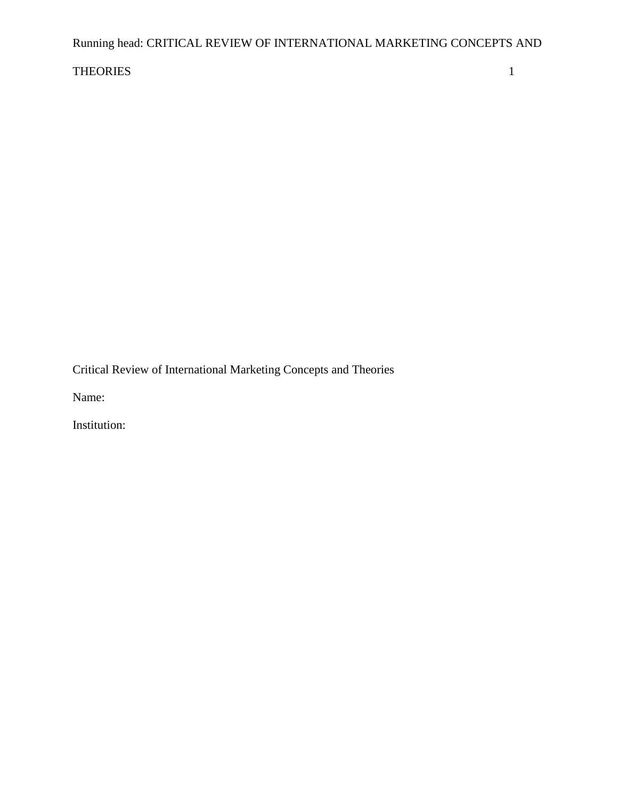# Running head: CRITICAL REVIEW OF INTERNATIONAL MARKETING CONCEPTS AND

## THEORIES 1

Critical Review of International Marketing Concepts and Theories

Name:

Institution: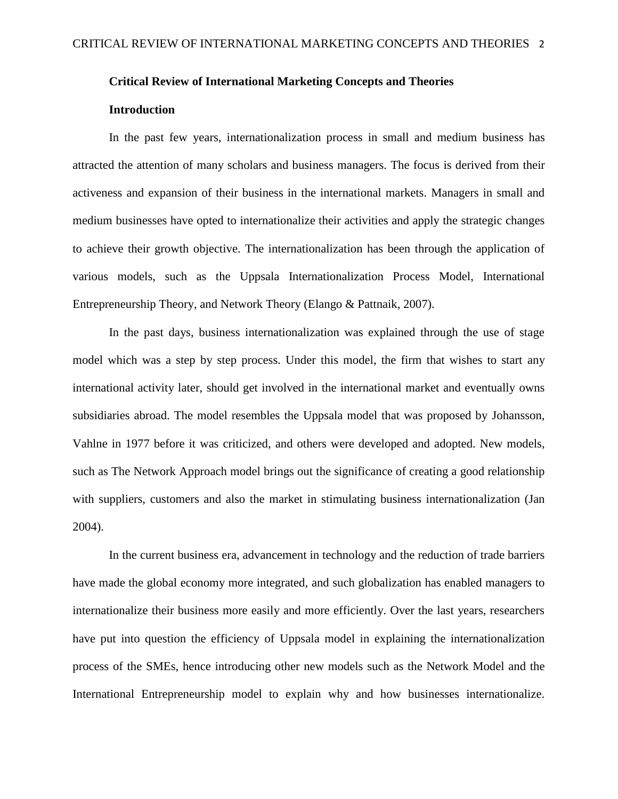## **Critical Review of International Marketing Concepts and Theories**

## **Introduction**

In the past few years, internationalization process in small and medium business has attracted the attention of many scholars and business managers. The focus is derived from their activeness and expansion of their business in the international markets. Managers in small and medium businesses have opted to internationalize their activities and apply the strategic changes to achieve their growth objective. The internationalization has been through the application of various models, such as the Uppsala Internationalization Process Model, International Entrepreneurship Theory, and Network Theory (Elango & Pattnaik, 2007).

In the past days, business internationalization was explained through the use of stage model which was a step by step process. Under this model, the firm that wishes to start any international activity later, should get involved in the international market and eventually owns subsidiaries abroad. The model resembles the Uppsala model that was proposed by Johansson, Vahlne in 1977 before it was criticized, and others were developed and adopted. New models, such as The Network Approach model brings out the significance of creating a good relationship with suppliers, customers and also the market in stimulating business internationalization (Jan 2004).

In the current business era, advancement in technology and the reduction of trade barriers have made the global economy more integrated, and such globalization has enabled managers to internationalize their business more easily and more efficiently. Over the last years, researchers have put into question the efficiency of Uppsala model in explaining the internationalization process of the SMEs, hence introducing other new models such as the Network Model and the International Entrepreneurship model to explain why and how businesses internationalize.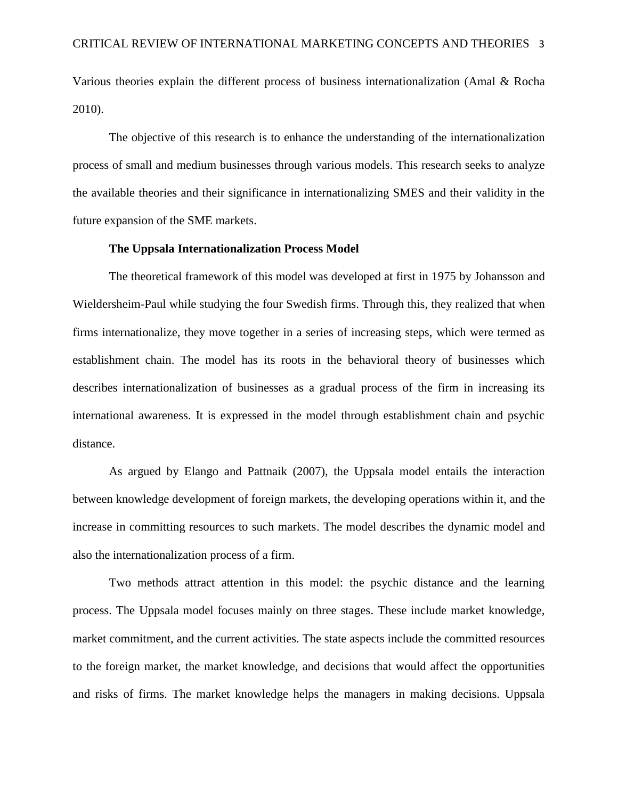Various theories explain the different process of business internationalization (Amal & Rocha 2010).

The objective of this research is to enhance the understanding of the internationalization process of small and medium businesses through various models. This research seeks to analyze the available theories and their significance in internationalizing SMES and their validity in the future expansion of the SME markets.

## **The Uppsala Internationalization Process Model**

The theoretical framework of this model was developed at first in 1975 by Johansson and Wieldersheim-Paul while studying the four Swedish firms. Through this, they realized that when firms internationalize, they move together in a series of increasing steps, which were termed as establishment chain. The model has its roots in the behavioral theory of businesses which describes internationalization of businesses as a gradual process of the firm in increasing its international awareness. It is expressed in the model through establishment chain and psychic distance.

As argued by Elango and Pattnaik (2007), the Uppsala model entails the interaction between knowledge development of foreign markets, the developing operations within it, and the increase in committing resources to such markets. The model describes the dynamic model and also the internationalization process of a firm.

Two methods attract attention in this model: the psychic distance and the learning process. The Uppsala model focuses mainly on three stages. These include market knowledge, market commitment, and the current activities. The state aspects include the committed resources to the foreign market, the market knowledge, and decisions that would affect the opportunities and risks of firms. The market knowledge helps the managers in making decisions. Uppsala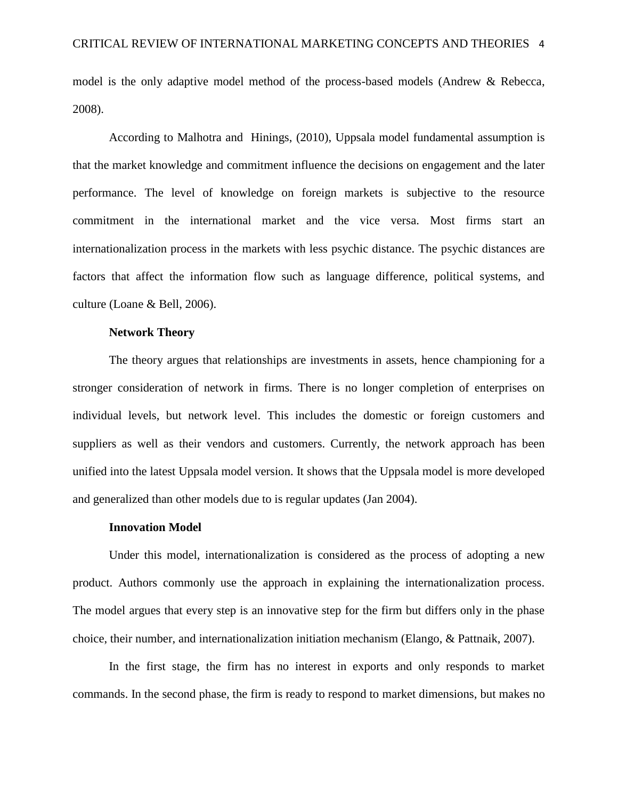model is the only adaptive model method of the process-based models (Andrew & Rebecca, 2008).

According to Malhotra and Hinings, (2010), Uppsala model fundamental assumption is that the market knowledge and commitment influence the decisions on engagement and the later performance. The level of knowledge on foreign markets is subjective to the resource commitment in the international market and the vice versa. Most firms start an internationalization process in the markets with less psychic distance. The psychic distances are factors that affect the information flow such as language difference, political systems, and culture (Loane & Bell, 2006).

## **Network Theory**

The theory argues that relationships are investments in assets, hence championing for a stronger consideration of network in firms. There is no longer completion of enterprises on individual levels, but network level. This includes the domestic or foreign customers and suppliers as well as their vendors and customers. Currently, the network approach has been unified into the latest Uppsala model version. It shows that the Uppsala model is more developed and generalized than other models due to is regular updates (Jan 2004).

#### **Innovation Model**

Under this model, internationalization is considered as the process of adopting a new product. Authors commonly use the approach in explaining the internationalization process. The model argues that every step is an innovative step for the firm but differs only in the phase choice, their number, and internationalization initiation mechanism (Elango, & Pattnaik, 2007).

In the first stage, the firm has no interest in exports and only responds to market commands. In the second phase, the firm is ready to respond to market dimensions, but makes no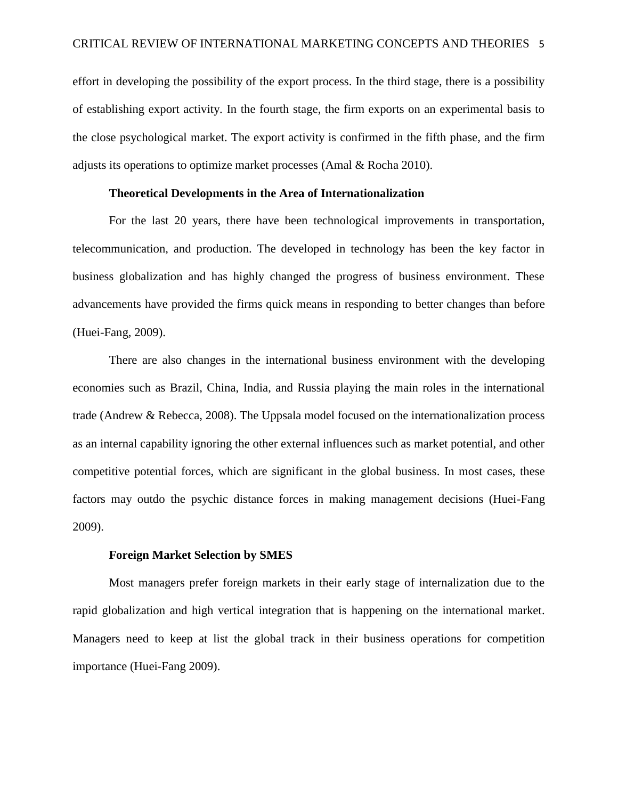effort in developing the possibility of the export process. In the third stage, there is a possibility of establishing export activity. In the fourth stage, the firm exports on an experimental basis to the close psychological market. The export activity is confirmed in the fifth phase, and the firm adjusts its operations to optimize market processes (Amal & Rocha 2010).

## **Theoretical Developments in the Area of Internationalization**

For the last 20 years, there have been technological improvements in transportation, telecommunication, and production. The developed in technology has been the key factor in business globalization and has highly changed the progress of business environment. These advancements have provided the firms quick means in responding to better changes than before (Huei-Fang, 2009).

There are also changes in the international business environment with the developing economies such as Brazil, China, India, and Russia playing the main roles in the international trade (Andrew & Rebecca, 2008). The Uppsala model focused on the internationalization process as an internal capability ignoring the other external influences such as market potential, and other competitive potential forces, which are significant in the global business. In most cases, these factors may outdo the psychic distance forces in making management decisions (Huei-Fang 2009).

## **Foreign Market Selection by SMES**

Most managers prefer foreign markets in their early stage of internalization due to the rapid globalization and high vertical integration that is happening on the international market. Managers need to keep at list the global track in their business operations for competition importance (Huei-Fang 2009).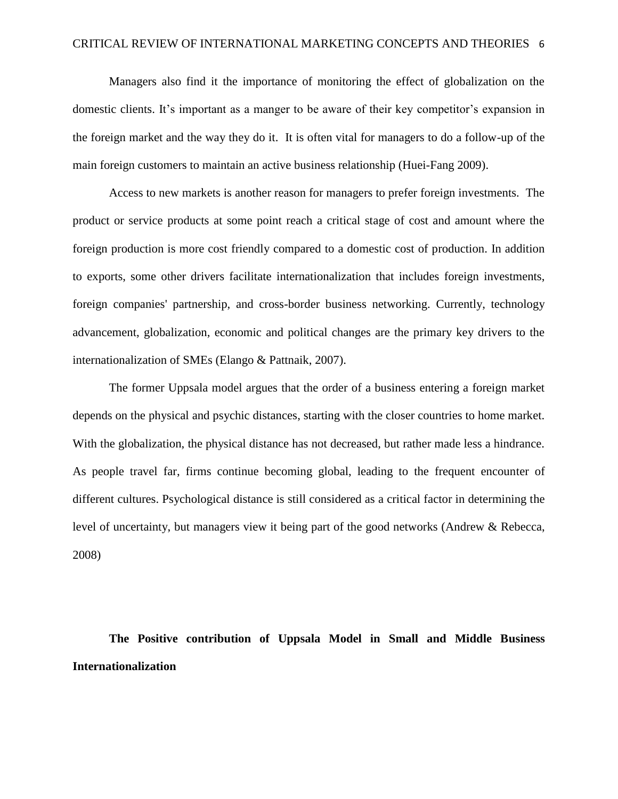Managers also find it the importance of monitoring the effect of globalization on the domestic clients. It's important as a manger to be aware of their key competitor's expansion in the foreign market and the way they do it. It is often vital for managers to do a follow-up of the main foreign customers to maintain an active business relationship (Huei-Fang 2009).

Access to new markets is another reason for managers to prefer foreign investments. The product or service products at some point reach a critical stage of cost and amount where the foreign production is more cost friendly compared to a domestic cost of production. In addition to exports, some other drivers facilitate internationalization that includes foreign investments, foreign companies' partnership, and cross-border business networking. Currently, technology advancement, globalization, economic and political changes are the primary key drivers to the internationalization of SMEs (Elango & Pattnaik, 2007).

The former Uppsala model argues that the order of a business entering a foreign market depends on the physical and psychic distances, starting with the closer countries to home market. With the globalization, the physical distance has not decreased, but rather made less a hindrance. As people travel far, firms continue becoming global, leading to the frequent encounter of different cultures. Psychological distance is still considered as a critical factor in determining the level of uncertainty, but managers view it being part of the good networks (Andrew & Rebecca, 2008)

**The Positive contribution of Uppsala Model in Small and Middle Business Internationalization**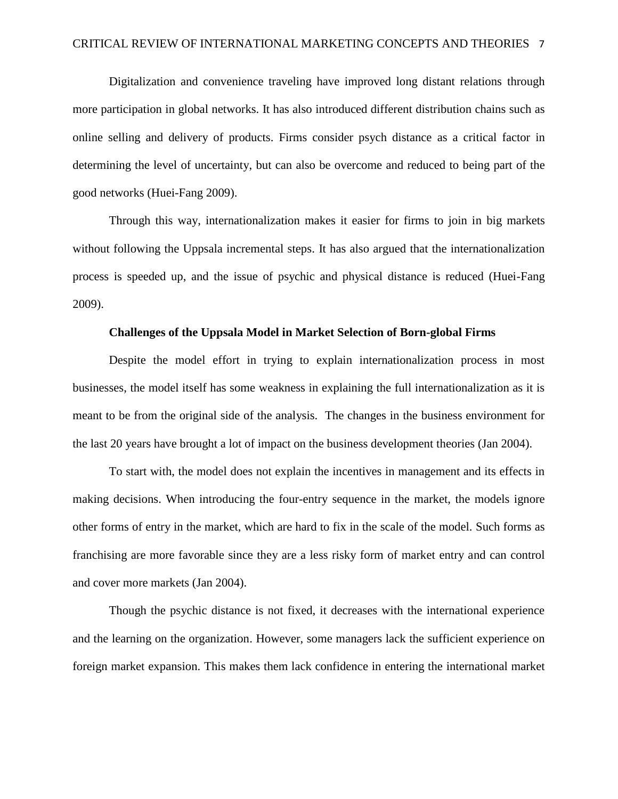Digitalization and convenience traveling have improved long distant relations through more participation in global networks. It has also introduced different distribution chains such as online selling and delivery of products. Firms consider psych distance as a critical factor in determining the level of uncertainty, but can also be overcome and reduced to being part of the good networks (Huei-Fang 2009).

Through this way, internationalization makes it easier for firms to join in big markets without following the Uppsala incremental steps. It has also argued that the internationalization process is speeded up, and the issue of psychic and physical distance is reduced (Huei-Fang 2009).

## **Challenges of the Uppsala Model in Market Selection of Born-global Firms**

Despite the model effort in trying to explain internationalization process in most businesses, the model itself has some weakness in explaining the full internationalization as it is meant to be from the original side of the analysis. The changes in the business environment for the last 20 years have brought a lot of impact on the business development theories (Jan 2004).

To start with, the model does not explain the incentives in management and its effects in making decisions. When introducing the four-entry sequence in the market, the models ignore other forms of entry in the market, which are hard to fix in the scale of the model. Such forms as franchising are more favorable since they are a less risky form of market entry and can control and cover more markets (Jan 2004).

Though the psychic distance is not fixed, it decreases with the international experience and the learning on the organization. However, some managers lack the sufficient experience on foreign market expansion. This makes them lack confidence in entering the international market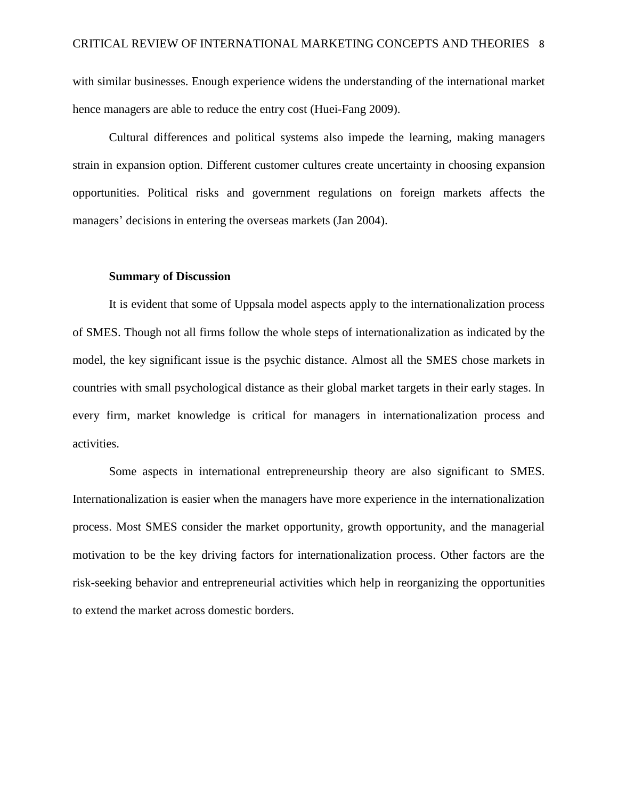with similar businesses. Enough experience widens the understanding of the international market hence managers are able to reduce the entry cost (Huei-Fang 2009).

Cultural differences and political systems also impede the learning, making managers strain in expansion option. Different customer cultures create uncertainty in choosing expansion opportunities. Political risks and government regulations on foreign markets affects the managers' decisions in entering the overseas markets (Jan 2004).

## **Summary of Discussion**

It is evident that some of Uppsala model aspects apply to the internationalization process of SMES. Though not all firms follow the whole steps of internationalization as indicated by the model, the key significant issue is the psychic distance. Almost all the SMES chose markets in countries with small psychological distance as their global market targets in their early stages. In every firm, market knowledge is critical for managers in internationalization process and activities.

Some aspects in international entrepreneurship theory are also significant to SMES. Internationalization is easier when the managers have more experience in the internationalization process. Most SMES consider the market opportunity, growth opportunity, and the managerial motivation to be the key driving factors for internationalization process. Other factors are the risk-seeking behavior and entrepreneurial activities which help in reorganizing the opportunities to extend the market across domestic borders.